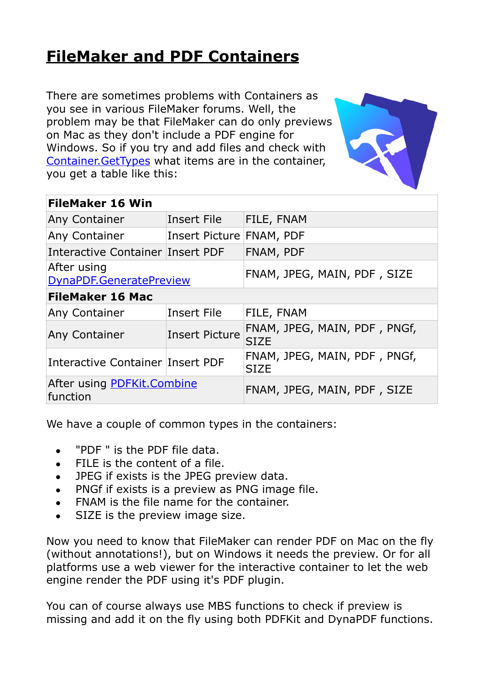## **[FileMaker and PDF Containers](https://www.mbs-plugins.com/archive/2017-08-30/FileMaker_and_PDF_Containers/monkeybreadsoftware_blog_filemaker)**

There are sometimes problems with Containers as you see in various FileMaker forums. Well, the problem may be that FileMaker can do only previews on Mac as they don't include a PDF engine for Windows. So if you try and add files and check with [Container.GetTypes](http://www.mbsplugins.eu/ContainerGetTypes.shtml) what items are in the container, you get a table like this:

| <b>FileMaker 16 Win</b>                 |                          |                                             |
|-----------------------------------------|--------------------------|---------------------------------------------|
| <b>Any Container</b>                    | Insert File              | FILE, FNAM                                  |
| <b>Any Container</b>                    | Insert Picture FNAM, PDF |                                             |
| <b>Interactive Container Insert PDF</b> |                          | FNAM, PDF                                   |
| After using<br>DynaPDF.GeneratePreview  |                          | FNAM, JPEG, MAIN, PDF, SIZE                 |
| <b>FileMaker 16 Mac</b>                 |                          |                                             |
| <b>Any Container</b>                    | Insert File              | FILE, FNAM                                  |
| <b>Any Container</b>                    | <b>Insert Picture</b>    | FNAM, JPEG, MAIN, PDF, PNGf,<br><b>SIZE</b> |
| Interactive Container Insert PDF        |                          | FNAM, JPEG, MAIN, PDF, PNGf,<br><b>SIZE</b> |
| After using PDFKit.Combine<br>function  |                          | FNAM, JPEG, MAIN, PDF, SIZE                 |

We have a couple of common types in the containers:

- "PDF" is the PDF file data.
- FILE is the content of a file.
- JPEG if exists is the JPEG preview data.
- PNGf if exists is a preview as PNG image file.
- FNAM is the file name for the container.
- SIZE is the preview image size.

Now you need to know that FileMaker can render PDF on Mac on the fly (without annotations!), but on Windows it needs the preview. Or for all platforms use a web viewer for the interactive container to let the web engine render the PDF using it's PDF plugin.

You can of course always use MBS functions to check if preview is missing and add it on the fly using both PDFKit and DynaPDF functions.